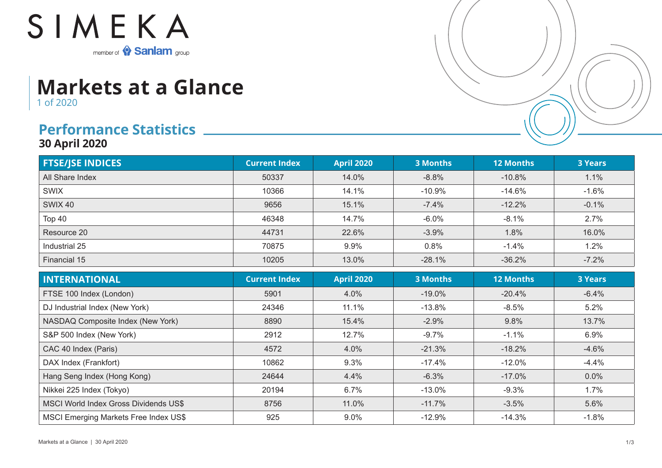

## **Markets at a Glance** 1 of 2020

## **Performance Statistics**

**30 April 2020**

| <b>FTSE/JSE INDICES</b> | <b>Current Index</b> | <b>April 2020</b> | <b>3 Months</b> | <b>12 Months</b> | <b>3 Years</b> |
|-------------------------|----------------------|-------------------|-----------------|------------------|----------------|
| All Share Index         | 50337                | 14.0%             | $-8.8%$         | $-10.8%$         | 1.1%           |
| <b>SWIX</b>             | 10366                | 14.1%             | $-10.9%$        | -14.6%           | $-1.6%$        |
| SWIX 40                 | 9656                 | 15.1%             | $-7.4%$         | $-12.2%$         | $-0.1%$        |
| Top 40                  | 46348                | 14.7%             | $-6.0%$         | $-8.1%$          | 2.7%           |
| Resource 20             | 44731                | 22.6%             | $-3.9%$         | 1.8%             | 16.0%          |
| Industrial 25           | 70875                | 9.9%              | 0.8%            | $-1.4%$          | 1.2%           |
| Financial 15            | 10205                | 13.0%             | $-28.1%$        | $-36.2%$         | $-7.2%$        |

| <b>INTERNATIONAL</b>                         | <b>Current Index</b> | <b>April 2020</b> | <b>3 Months</b> | <b>12 Months</b> | <b>3 Years</b> |
|----------------------------------------------|----------------------|-------------------|-----------------|------------------|----------------|
| FTSE 100 Index (London)                      | 5901                 | 4.0%              | $-19.0%$        | $-20.4%$         | $-6.4%$        |
| DJ Industrial Index (New York)               | 24346                | 11.1%             | $-13.8\%$       | $-8.5%$          | 5.2%           |
| NASDAQ Composite Index (New York)            | 8890                 | 15.4%             | $-2.9%$         | 9.8%             | 13.7%          |
| S&P 500 Index (New York)                     | 2912                 | 12.7%             | $-9.7%$         | $-1.1%$          | 6.9%           |
| CAC 40 Index (Paris)                         | 4572                 | 4.0%              | $-21.3%$        | $-18.2%$         | $-4.6%$        |
| DAX Index (Frankfort)                        | 10862                | 9.3%              | $-17.4%$        | $-12.0\%$        | $-4.4%$        |
| Hang Seng Index (Hong Kong)                  | 24644                | 4.4%              | $-6.3%$         | $-17.0%$         | 0.0%           |
| Nikkei 225 Index (Tokyo)                     | 20194                | 6.7%              | $-13.0\%$       | $-9.3%$          | 1.7%           |
| MSCI World Index Gross Dividends US\$        | 8756                 | 11.0%             | $-11.7%$        | $-3.5%$          | 5.6%           |
| <b>MSCI Emerging Markets Free Index US\$</b> | 925                  | $9.0\%$           | $-12.9\%$       | $-14.3%$         | $-1.8\%$       |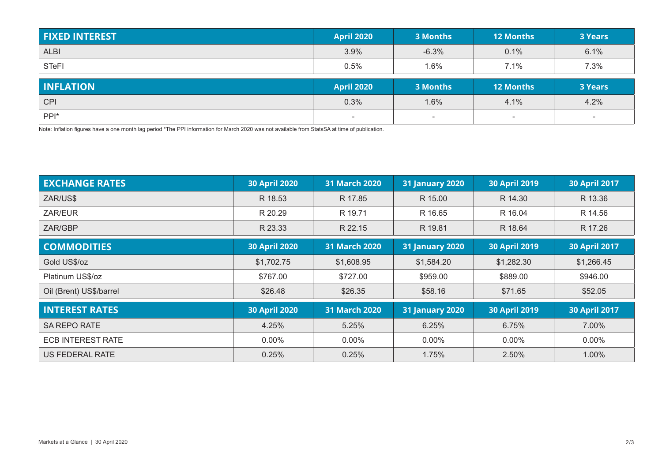| <b>FIXED INTEREST</b> | <b>April 2020</b> | 3 Months | <b>12 Months</b> | <b>3 Years</b> |
|-----------------------|-------------------|----------|------------------|----------------|
| <b>ALBI</b>           | 3.9%              | $-6.3%$  | 0.1%             | 6.1%           |
| <b>STeFI</b>          | 0.5%              | 1.6%     | 7.1%             | 7.3%           |
|                       |                   |          |                  |                |
| <b>INFLATION</b>      | <b>April 2020</b> | 3 Months | <b>12 Months</b> | <b>3 Years</b> |
| <b>CPI</b>            | 0.3%              | 1.6%     | 4.1%             | 4.2%           |

Note: Inflation figures have a one month lag period \*The PPI information for March 2020 was not available from StatsSA at time of publication.

| <b>EXCHANGE RATES</b>    | <b>30 April 2020</b> | 31 March 2020        | <b>31 January 2020</b> | <b>30 April 2019</b> | <b>30 April 2017</b> |
|--------------------------|----------------------|----------------------|------------------------|----------------------|----------------------|
| ZAR/US\$                 | R 18.53              | R 17.85              | R 15.00                | R 14.30              | R 13.36              |
| ZAR/EUR                  | R 20.29              | R 19.71              | R 16.65                | R 16.04              | R 14.56              |
| ZAR/GBP                  | R 23.33              | R 22.15              | R 19.81                | R 18.64              | R 17.26              |
| <b>COMMODITIES</b>       | <b>30 April 2020</b> | <b>31 March 2020</b> | <b>31 January 2020</b> | <b>30 April 2019</b> | <b>30 April 2017</b> |
| Gold US\$/oz             | \$1,702.75           | \$1,608.95           | \$1,584.20             | \$1,282.30           | \$1,266.45           |
| Platinum US\$/oz         | \$767.00             | \$727.00             | \$959.00               | \$889.00             | \$946.00             |
| Oil (Brent) US\$/barrel  | \$26.48              | \$26.35              | \$58.16                | \$71.65              | \$52.05              |
| <b>INTEREST RATES</b>    | <b>30 April 2020</b> | 31 March 2020        | <b>31 January 2020</b> | <b>30 April 2019</b> | <b>30 April 2017</b> |
| <b>SA REPO RATE</b>      | 4.25%                | 5.25%                | 6.25%                  | 6.75%                | 7.00%                |
| <b>ECB INTEREST RATE</b> | $0.00\%$             | $0.00\%$             | $0.00\%$               | $0.00\%$             | $0.00\%$             |
| US FEDERAL RATE          | 0.25%                | 0.25%                | 1.75%                  | 2.50%                | 1.00%                |